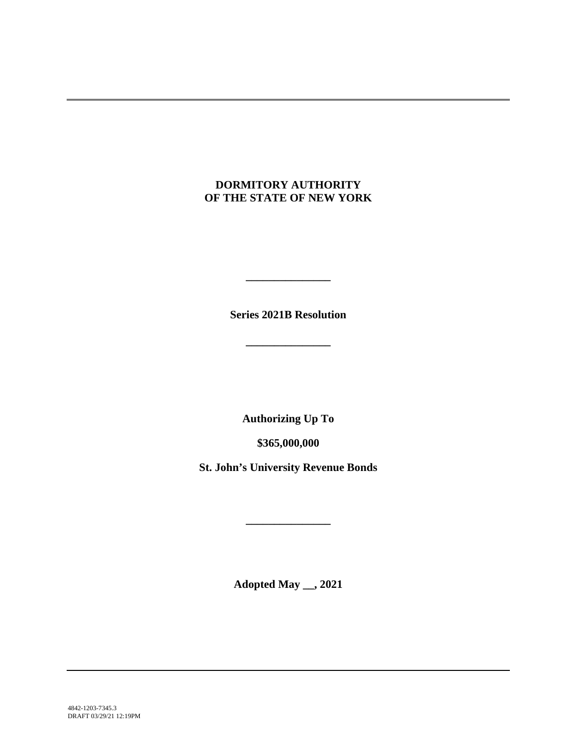# **DORMITORY AUTHORITY OF THE STATE OF NEW YORK**

**Series 2021B Resolution**

**\_\_\_\_\_\_\_\_\_\_\_\_\_\_\_**

**\_\_\_\_\_\_\_\_\_\_\_\_\_\_\_**

**Authorizing Up To**

**\$365,000,000**

**St. John's University Revenue Bonds**

**\_\_\_\_\_\_\_\_\_\_\_\_\_\_\_**

**Adopted May \_\_, 2021**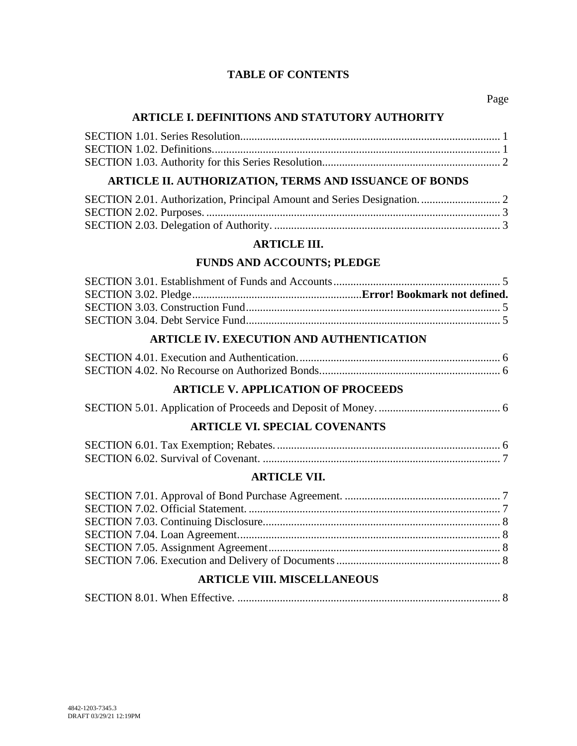# **TABLE OF CONTENTS**

# **ARTICLE I. DEFINITIONS AND STATUTORY AUTHORITY**

# **ARTICLE II. AUTHORIZATION, TERMS AND ISSUANCE OF BONDS**

| SECTION 2.01. Authorization, Principal Amount and Series Designation.  2 |  |
|--------------------------------------------------------------------------|--|
|                                                                          |  |
|                                                                          |  |

# **ARTICLE III.**

# **FUNDS AND ACCOUNTS; PLEDGE**

# **ARTICLE IV. EXECUTION AND AUTHENTICATION**

# **ARTICLE V. APPLICATION OF PROCEEDS**

|--|--|--|

# **ARTICLE VI. SPECIAL COVENANTS**

# **ARTICLE VII.**

# **ARTICLE VIII. MISCELLANEOUS**

|--|--|--|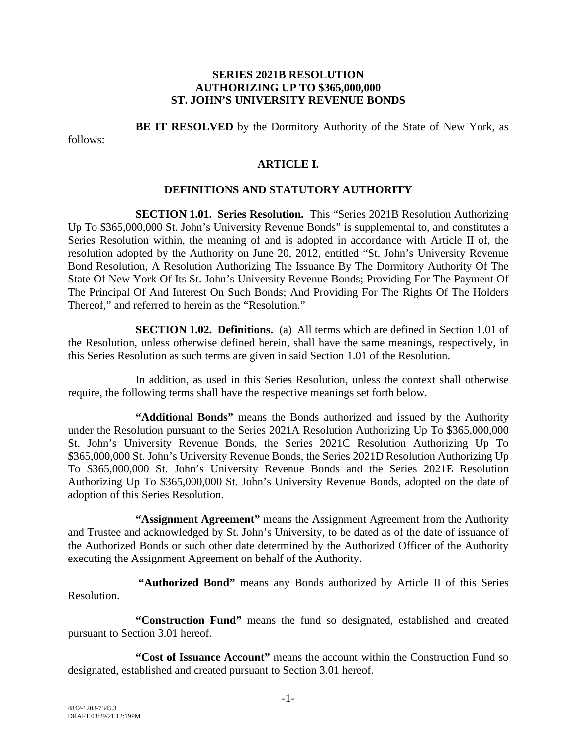#### **SERIES 2021B RESOLUTION AUTHORIZING UP TO \$365,000,000 ST. JOHN'S UNIVERSITY REVENUE BONDS**

**BE IT RESOLVED** by the Dormitory Authority of the State of New York, as

follows:

# **ARTICLE I.**

### **DEFINITIONS AND STATUTORY AUTHORITY**

**SECTION 1.01. Series Resolution.** This "Series 2021B Resolution Authorizing Up To \$365,000,000 St. John's University Revenue Bonds" is supplemental to, and constitutes a Series Resolution within, the meaning of and is adopted in accordance with Article II of, the resolution adopted by the Authority on June 20, 2012, entitled "St. John's University Revenue Bond Resolution, A Resolution Authorizing The Issuance By The Dormitory Authority Of The State Of New York Of Its St. John's University Revenue Bonds; Providing For The Payment Of The Principal Of And Interest On Such Bonds; And Providing For The Rights Of The Holders Thereof," and referred to herein as the "Resolution."

**SECTION 1.02. Definitions.** (a) All terms which are defined in Section 1.01 of the Resolution, unless otherwise defined herein, shall have the same meanings, respectively, in this Series Resolution as such terms are given in said Section 1.01 of the Resolution.

In addition, as used in this Series Resolution, unless the context shall otherwise require, the following terms shall have the respective meanings set forth below.

**"Additional Bonds"** means the Bonds authorized and issued by the Authority under the Resolution pursuant to the Series 2021A Resolution Authorizing Up To \$365,000,000 St. John's University Revenue Bonds, the Series 2021C Resolution Authorizing Up To \$365,000,000 St. John's University Revenue Bonds, the Series 2021D Resolution Authorizing Up To \$365,000,000 St. John's University Revenue Bonds and the Series 2021E Resolution Authorizing Up To \$365,000,000 St. John's University Revenue Bonds, adopted on the date of adoption of this Series Resolution.

**"Assignment Agreement"** means the Assignment Agreement from the Authority and Trustee and acknowledged by St. John's University, to be dated as of the date of issuance of the Authorized Bonds or such other date determined by the Authorized Officer of the Authority executing the Assignment Agreement on behalf of the Authority.

**"Authorized Bond"** means any Bonds authorized by Article II of this Series Resolution.

**"Construction Fund"** means the fund so designated, established and created pursuant to Section 3.01 hereof.

**"Cost of Issuance Account"** means the account within the Construction Fund so designated, established and created pursuant to Section 3.01 hereof.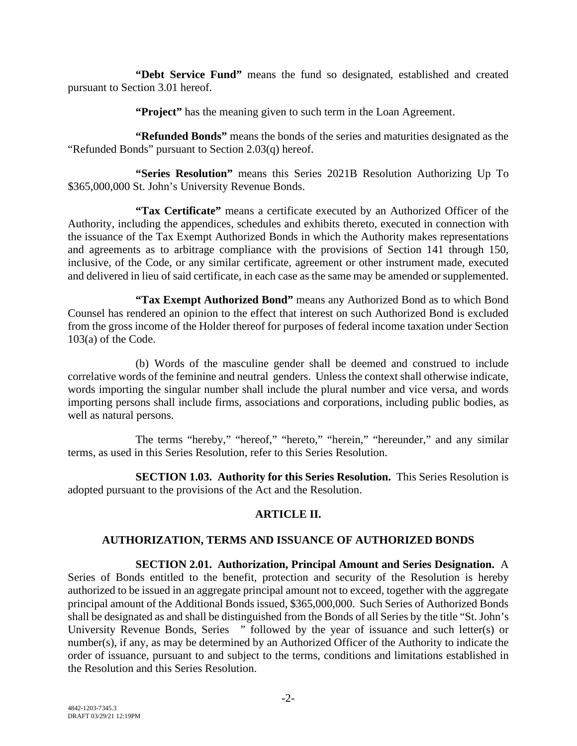**"Debt Service Fund"** means the fund so designated, established and created pursuant to Section 3.01 hereof.

**"Project"** has the meaning given to such term in the Loan Agreement.

**"Refunded Bonds"** means the bonds of the series and maturities designated as the "Refunded Bonds" pursuant to Section 2.03(q) hereof.

**"Series Resolution"** means this Series 2021B Resolution Authorizing Up To \$365,000,000 St. John's University Revenue Bonds.

**"Tax Certificate"** means a certificate executed by an Authorized Officer of the Authority, including the appendices, schedules and exhibits thereto, executed in connection with the issuance of the Tax Exempt Authorized Bonds in which the Authority makes representations and agreements as to arbitrage compliance with the provisions of Section 141 through 150, inclusive, of the Code, or any similar certificate, agreement or other instrument made, executed and delivered in lieu of said certificate, in each case as the same may be amended or supplemented.

**"Tax Exempt Authorized Bond"** means any Authorized Bond as to which Bond Counsel has rendered an opinion to the effect that interest on such Authorized Bond is excluded from the gross income of the Holder thereof for purposes of federal income taxation under Section 103(a) of the Code.

(b) Words of the masculine gender shall be deemed and construed to include correlative words of the feminine and neutral genders. Unless the context shall otherwise indicate, words importing the singular number shall include the plural number and vice versa, and words importing persons shall include firms, associations and corporations, including public bodies, as well as natural persons.

The terms "hereby," "hereof," "hereto," "herein," "hereunder," and any similar terms, as used in this Series Resolution, refer to this Series Resolution.

**SECTION 1.03. Authority for this Series Resolution.** This Series Resolution is adopted pursuant to the provisions of the Act and the Resolution.

# **ARTICLE II.**

# **AUTHORIZATION, TERMS AND ISSUANCE OF AUTHORIZED BONDS**

# **SECTION 2.01. Authorization, Principal Amount and Series Designation.** A

Series of Bonds entitled to the benefit, protection and security of the Resolution is hereby authorized to be issued in an aggregate principal amount not to exceed, together with the aggregate principal amount of the Additional Bonds issued, \$365,000,000. Such Series of Authorized Bonds shall be designated as and shall be distinguished from the Bonds of all Series by the title "St. John's University Revenue Bonds, Series " followed by the year of issuance and such letter(s) or number(s), if any, as may be determined by an Authorized Officer of the Authority to indicate the order of issuance, pursuant to and subject to the terms, conditions and limitations established in the Resolution and this Series Resolution.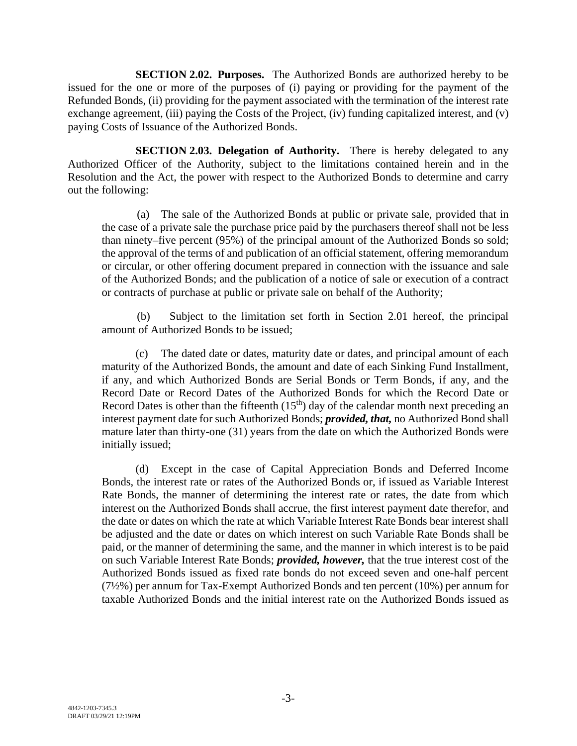**SECTION 2.02. Purposes.** The Authorized Bonds are authorized hereby to be issued for the one or more of the purposes of (i) paying or providing for the payment of the Refunded Bonds, (ii) providing for the payment associated with the termination of the interest rate exchange agreement, (iii) paying the Costs of the Project, (iv) funding capitalized interest, and (v) paying Costs of Issuance of the Authorized Bonds.

**SECTION 2.03. Delegation of Authority.** There is hereby delegated to any Authorized Officer of the Authority, subject to the limitations contained herein and in the Resolution and the Act, the power with respect to the Authorized Bonds to determine and carry out the following:

(a) The sale of the Authorized Bonds at public or private sale, provided that in the case of a private sale the purchase price paid by the purchasers thereof shall not be less than ninety–five percent (95%) of the principal amount of the Authorized Bonds so sold; the approval of the terms of and publication of an official statement, offering memorandum or circular, or other offering document prepared in connection with the issuance and sale of the Authorized Bonds; and the publication of a notice of sale or execution of a contract or contracts of purchase at public or private sale on behalf of the Authority;

(b) Subject to the limitation set forth in Section 2.01 hereof, the principal amount of Authorized Bonds to be issued;

(c) The dated date or dates, maturity date or dates, and principal amount of each maturity of the Authorized Bonds, the amount and date of each Sinking Fund Installment, if any, and which Authorized Bonds are Serial Bonds or Term Bonds, if any, and the Record Date or Record Dates of the Authorized Bonds for which the Record Date or Record Dates is other than the fifteenth  $(15<sup>th</sup>)$  day of the calendar month next preceding an interest payment date for such Authorized Bonds; *provided, that,* no Authorized Bond shall mature later than thirty-one (31) years from the date on which the Authorized Bonds were initially issued;

(d) Except in the case of Capital Appreciation Bonds and Deferred Income Bonds, the interest rate or rates of the Authorized Bonds or, if issued as Variable Interest Rate Bonds, the manner of determining the interest rate or rates, the date from which interest on the Authorized Bonds shall accrue, the first interest payment date therefor, and the date or dates on which the rate at which Variable Interest Rate Bonds bear interest shall be adjusted and the date or dates on which interest on such Variable Rate Bonds shall be paid, or the manner of determining the same, and the manner in which interest is to be paid on such Variable Interest Rate Bonds; *provided, however,* that the true interest cost of the Authorized Bonds issued as fixed rate bonds do not exceed seven and one-half percent (7½%) per annum for Tax-Exempt Authorized Bonds and ten percent (10%) per annum for taxable Authorized Bonds and the initial interest rate on the Authorized Bonds issued as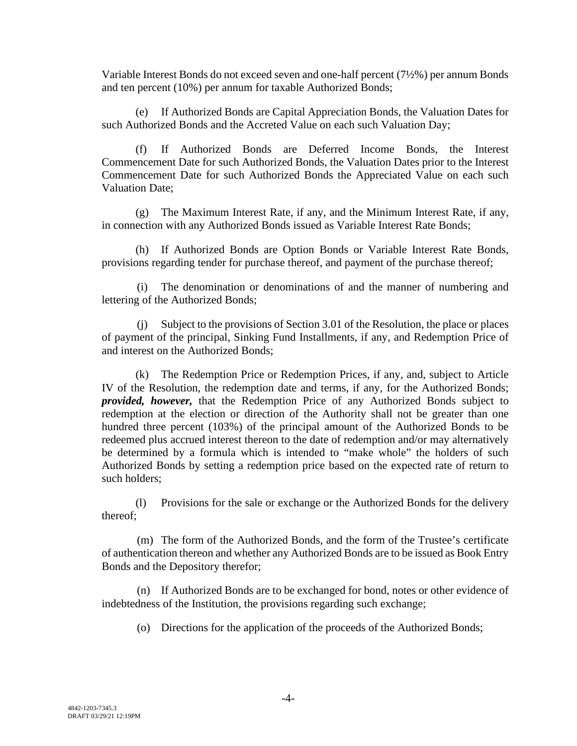Variable Interest Bonds do not exceed seven and one-half percent (7½%) per annum Bonds and ten percent (10%) per annum for taxable Authorized Bonds;

(e) If Authorized Bonds are Capital Appreciation Bonds, the Valuation Dates for such Authorized Bonds and the Accreted Value on each such Valuation Day;

(f) If Authorized Bonds are Deferred Income Bonds, the Interest Commencement Date for such Authorized Bonds, the Valuation Dates prior to the Interest Commencement Date for such Authorized Bonds the Appreciated Value on each such Valuation Date;

(g) The Maximum Interest Rate, if any, and the Minimum Interest Rate, if any, in connection with any Authorized Bonds issued as Variable Interest Rate Bonds;

(h) If Authorized Bonds are Option Bonds or Variable Interest Rate Bonds, provisions regarding tender for purchase thereof, and payment of the purchase thereof;

(i) The denomination or denominations of and the manner of numbering and lettering of the Authorized Bonds;

(j) Subject to the provisions of Section 3.01 of the Resolution, the place or places of payment of the principal, Sinking Fund Installments, if any, and Redemption Price of and interest on the Authorized Bonds;

(k) The Redemption Price or Redemption Prices, if any, and, subject to Article IV of the Resolution, the redemption date and terms, if any, for the Authorized Bonds; *provided, however,* that the Redemption Price of any Authorized Bonds subject to redemption at the election or direction of the Authority shall not be greater than one hundred three percent (103%) of the principal amount of the Authorized Bonds to be redeemed plus accrued interest thereon to the date of redemption and/or may alternatively be determined by a formula which is intended to "make whole" the holders of such Authorized Bonds by setting a redemption price based on the expected rate of return to such holders;

(l) Provisions for the sale or exchange or the Authorized Bonds for the delivery thereof;

(m) The form of the Authorized Bonds, and the form of the Trustee's certificate of authentication thereon and whether any Authorized Bonds are to be issued as Book Entry Bonds and the Depository therefor;

(n) If Authorized Bonds are to be exchanged for bond, notes or other evidence of indebtedness of the Institution, the provisions regarding such exchange;

(o) Directions for the application of the proceeds of the Authorized Bonds;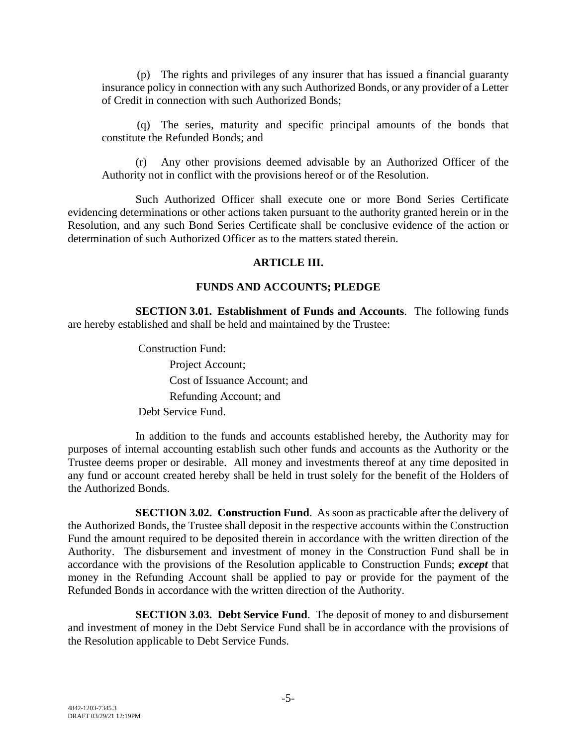(p) The rights and privileges of any insurer that has issued a financial guaranty insurance policy in connection with any such Authorized Bonds, or any provider of a Letter of Credit in connection with such Authorized Bonds;

(q) The series, maturity and specific principal amounts of the bonds that constitute the Refunded Bonds; and

(r) Any other provisions deemed advisable by an Authorized Officer of the Authority not in conflict with the provisions hereof or of the Resolution.

Such Authorized Officer shall execute one or more Bond Series Certificate evidencing determinations or other actions taken pursuant to the authority granted herein or in the Resolution, and any such Bond Series Certificate shall be conclusive evidence of the action or determination of such Authorized Officer as to the matters stated therein.

#### **ARTICLE III.**

#### **FUNDS AND ACCOUNTS; PLEDGE**

**SECTION 3.01. Establishment of Funds and Accounts**. The following funds are hereby established and shall be held and maintained by the Trustee:

> Construction Fund: Project Account; Cost of Issuance Account; and Refunding Account; and Debt Service Fund.

In addition to the funds and accounts established hereby, the Authority may for purposes of internal accounting establish such other funds and accounts as the Authority or the Trustee deems proper or desirable. All money and investments thereof at any time deposited in any fund or account created hereby shall be held in trust solely for the benefit of the Holders of the Authorized Bonds.

**SECTION 3.02. Construction Fund.** As soon as practicable after the delivery of the Authorized Bonds, the Trustee shall deposit in the respective accounts within the Construction Fund the amount required to be deposited therein in accordance with the written direction of the Authority. The disbursement and investment of money in the Construction Fund shall be in accordance with the provisions of the Resolution applicable to Construction Funds; *except* that money in the Refunding Account shall be applied to pay or provide for the payment of the Refunded Bonds in accordance with the written direction of the Authority.

**SECTION 3.03. Debt Service Fund**. The deposit of money to and disbursement and investment of money in the Debt Service Fund shall be in accordance with the provisions of the Resolution applicable to Debt Service Funds.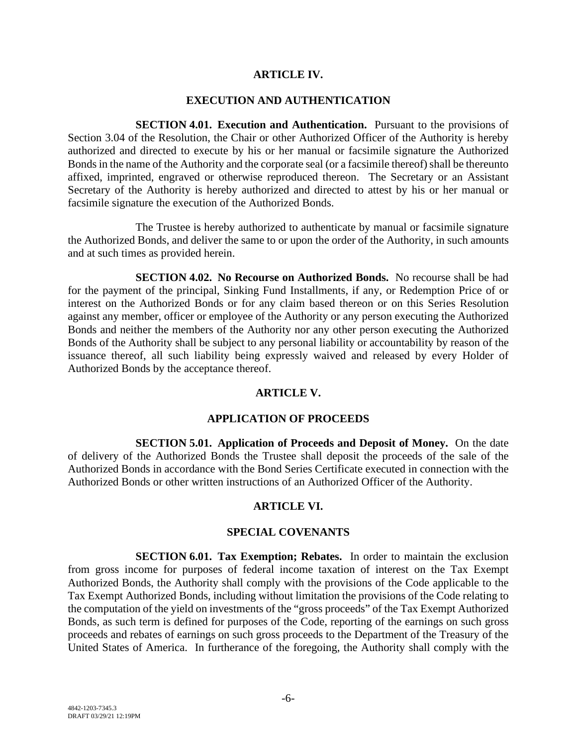#### **ARTICLE IV.**

#### **EXECUTION AND AUTHENTICATION**

**SECTION 4.01. Execution and Authentication.** Pursuant to the provisions of Section 3.04 of the Resolution, the Chair or other Authorized Officer of the Authority is hereby authorized and directed to execute by his or her manual or facsimile signature the Authorized Bonds in the name of the Authority and the corporate seal (or a facsimile thereof) shall be thereunto affixed, imprinted, engraved or otherwise reproduced thereon. The Secretary or an Assistant Secretary of the Authority is hereby authorized and directed to attest by his or her manual or facsimile signature the execution of the Authorized Bonds.

The Trustee is hereby authorized to authenticate by manual or facsimile signature the Authorized Bonds, and deliver the same to or upon the order of the Authority, in such amounts and at such times as provided herein.

**SECTION 4.02. No Recourse on Authorized Bonds.** No recourse shall be had for the payment of the principal, Sinking Fund Installments, if any, or Redemption Price of or interest on the Authorized Bonds or for any claim based thereon or on this Series Resolution against any member, officer or employee of the Authority or any person executing the Authorized Bonds and neither the members of the Authority nor any other person executing the Authorized Bonds of the Authority shall be subject to any personal liability or accountability by reason of the issuance thereof, all such liability being expressly waived and released by every Holder of Authorized Bonds by the acceptance thereof.

#### **ARTICLE V.**

#### **APPLICATION OF PROCEEDS**

**SECTION 5.01. Application of Proceeds and Deposit of Money.** On the date of delivery of the Authorized Bonds the Trustee shall deposit the proceeds of the sale of the Authorized Bonds in accordance with the Bond Series Certificate executed in connection with the Authorized Bonds or other written instructions of an Authorized Officer of the Authority.

#### **ARTICLE VI.**

#### **SPECIAL COVENANTS**

**SECTION 6.01. Tax Exemption; Rebates.** In order to maintain the exclusion from gross income for purposes of federal income taxation of interest on the Tax Exempt Authorized Bonds, the Authority shall comply with the provisions of the Code applicable to the Tax Exempt Authorized Bonds, including without limitation the provisions of the Code relating to the computation of the yield on investments of the "gross proceeds" of the Tax Exempt Authorized Bonds, as such term is defined for purposes of the Code, reporting of the earnings on such gross proceeds and rebates of earnings on such gross proceeds to the Department of the Treasury of the United States of America. In furtherance of the foregoing, the Authority shall comply with the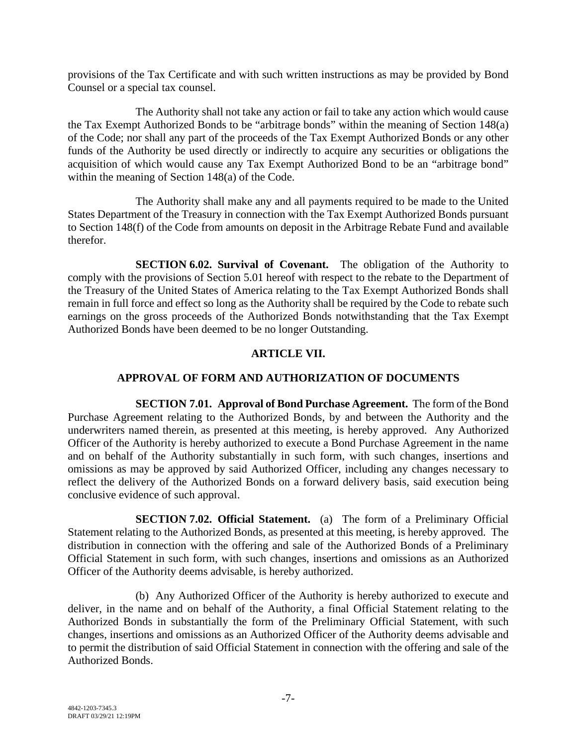provisions of the Tax Certificate and with such written instructions as may be provided by Bond Counsel or a special tax counsel.

The Authority shall not take any action or fail to take any action which would cause the Tax Exempt Authorized Bonds to be "arbitrage bonds" within the meaning of Section 148(a) of the Code; nor shall any part of the proceeds of the Tax Exempt Authorized Bonds or any other funds of the Authority be used directly or indirectly to acquire any securities or obligations the acquisition of which would cause any Tax Exempt Authorized Bond to be an "arbitrage bond" within the meaning of Section 148(a) of the Code.

The Authority shall make any and all payments required to be made to the United States Department of the Treasury in connection with the Tax Exempt Authorized Bonds pursuant to Section 148(f) of the Code from amounts on deposit in the Arbitrage Rebate Fund and available therefor.

**SECTION 6.02. Survival of Covenant.** The obligation of the Authority to comply with the provisions of Section 5.01 hereof with respect to the rebate to the Department of the Treasury of the United States of America relating to the Tax Exempt Authorized Bonds shall remain in full force and effect so long as the Authority shall be required by the Code to rebate such earnings on the gross proceeds of the Authorized Bonds notwithstanding that the Tax Exempt Authorized Bonds have been deemed to be no longer Outstanding.

# **ARTICLE VII.**

# **APPROVAL OF FORM AND AUTHORIZATION OF DOCUMENTS**

**SECTION 7.01. Approval of Bond Purchase Agreement.** The form of the Bond Purchase Agreement relating to the Authorized Bonds, by and between the Authority and the underwriters named therein, as presented at this meeting, is hereby approved. Any Authorized Officer of the Authority is hereby authorized to execute a Bond Purchase Agreement in the name and on behalf of the Authority substantially in such form, with such changes, insertions and omissions as may be approved by said Authorized Officer, including any changes necessary to reflect the delivery of the Authorized Bonds on a forward delivery basis, said execution being conclusive evidence of such approval.

**SECTION 7.02. Official Statement.** (a) The form of a Preliminary Official Statement relating to the Authorized Bonds, as presented at this meeting, is hereby approved. The distribution in connection with the offering and sale of the Authorized Bonds of a Preliminary Official Statement in such form, with such changes, insertions and omissions as an Authorized Officer of the Authority deems advisable, is hereby authorized.

(b) Any Authorized Officer of the Authority is hereby authorized to execute and deliver, in the name and on behalf of the Authority, a final Official Statement relating to the Authorized Bonds in substantially the form of the Preliminary Official Statement, with such changes, insertions and omissions as an Authorized Officer of the Authority deems advisable and to permit the distribution of said Official Statement in connection with the offering and sale of the Authorized Bonds.